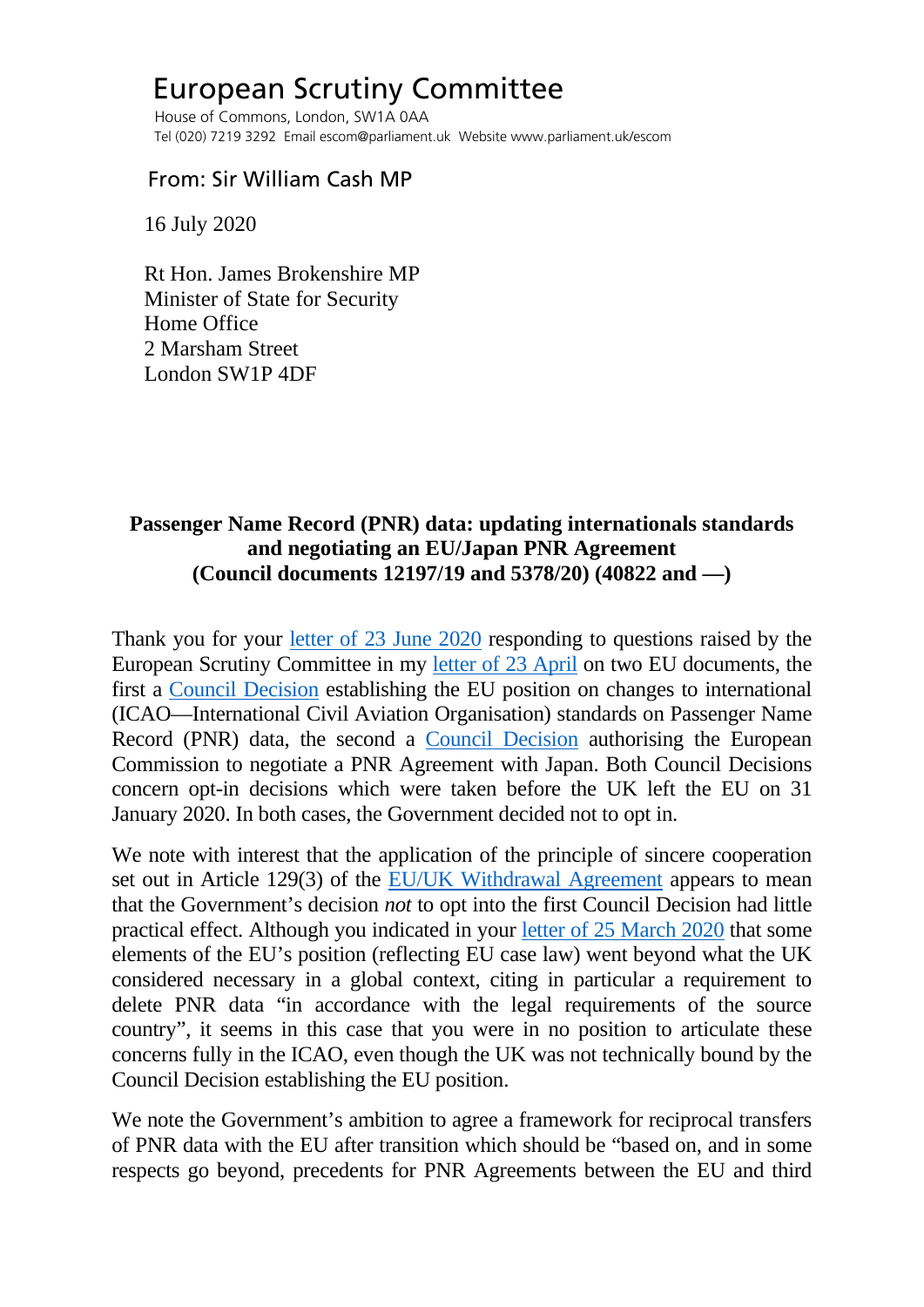## European Scrutiny Committee

 House of Commons, London, SW1A 0AA Tel (020) 7219 3292 Email escom@parliament.uk Website www.parliament.uk/escom

## From: Sir William Cash MP

16 July 2020

 Rt Hon. James Brokenshire MP Minister of State for Security Home Office 2 Marsham Street London SW1P 4DF

## **Passenger Name Record (PNR) data: updating internationals standards and negotiating an EU/Japan PNR Agreement (Council documents 12197/19 and 5378/20) (40822 and —)**

Thank you for your [letter of 23 June 2020](http://europeanmemoranda.cabinetoffice.gov.uk/files/2020/06/Security_Minister_letter_to_Sir_William_Cash_MP.pdf) responding to questions raised by the European Scrutiny Committee in my [letter of 23 April](https://committees.parliament.uk/publications/791/documents/4925/default/) on two EU documents, the first a [Council Decision](https://eur-lex.europa.eu/legal-content/EN/TXT/PDF/?uri=CELEX:32019D2107&from=GA) establishing the EU position on changes to international (ICAO—International Civil Aviation Organisation) standards on Passenger Name Record (PNR) data, the second a [Council Decision](https://data.consilium.europa.eu/doc/document/ST-5378-2020-INIT/en/pdf) authorising the European Commission to negotiate a PNR Agreement with Japan. Both Council Decisions concern opt-in decisions which were taken before the UK left the EU on 31 January 2020. In both cases, the Government decided not to opt in.

We note with interest that the application of the principle of sincere cooperation set out in Article 129(3) of the [EU/UK Withdrawal Agreement](https://eur-lex.europa.eu/legal-content/EN/TXT/PDF/?uri=CELEX:12019W/TXT(02)&from=EN) appears to mean that the Government's decision *not* to opt into the first Council Decision had little practical effect. Although you indicated in your [letter of 25 March 2020](http://europeanmemoranda.cabinetoffice.gov.uk/files/2020/03/EM_12197-19_Commons_JB.docx) that some elements of the EU's position (reflecting EU case law) went beyond what the UK considered necessary in a global context, citing in particular a requirement to delete PNR data "in accordance with the legal requirements of the source country", it seems in this case that you were in no position to articulate these concerns fully in the ICAO, even though the UK was not technically bound by the Council Decision establishing the EU position.

We note the Government's ambition to agree a framework for reciprocal transfers of PNR data with the EU after transition which should be "based on, and in some respects go beyond, precedents for PNR Agreements between the EU and third